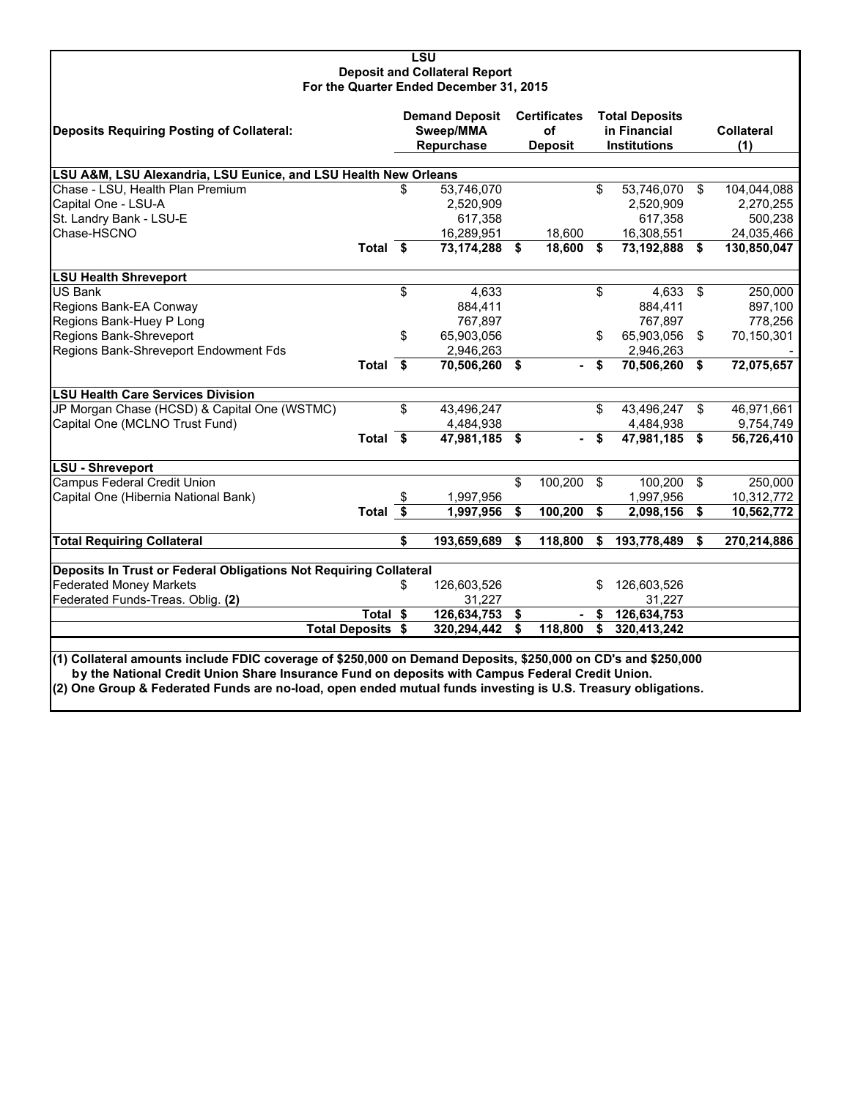#### **LSU Deposit and Collateral Report For the Quarter Ended December 31, 2015**

| <b>Deposits Requiring Posting of Collateral:</b>                                                               |                          | <b>Demand Deposit</b><br>Sweep/MMA<br>Repurchase | <b>Certificates</b><br><b>of</b><br><b>Deposit</b> |    | <b>Total Deposits</b><br>in Financial<br><b>Institutions</b> |          | <b>Collateral</b><br>(1) |
|----------------------------------------------------------------------------------------------------------------|--------------------------|--------------------------------------------------|----------------------------------------------------|----|--------------------------------------------------------------|----------|--------------------------|
| LSU A&M, LSU Alexandria, LSU Eunice, and LSU Health New Orleans                                                |                          |                                                  |                                                    |    |                                                              |          |                          |
| Chase - LSU, Health Plan Premium                                                                               |                          | \$<br>53,746,070                                 |                                                    | \$ | 53,746,070 \$                                                |          | 104,044,088              |
| Capital One - LSU-A                                                                                            |                          | 2,520,909                                        |                                                    |    | 2,520,909                                                    |          | 2,270,255                |
| St. Landry Bank - LSU-E                                                                                        |                          | 617,358                                          |                                                    |    | 617,358                                                      |          | 500,238                  |
| Chase-HSCNO                                                                                                    |                          | 16,289,951                                       | 18,600                                             |    | 16,308,551                                                   |          | 24,035,466               |
|                                                                                                                | Total $\overline{\$}$    | 73,174,288 \$                                    | $18,600$ \$                                        |    | 73,192,888 \$                                                |          | 130,850,047              |
| <b>LSU Health Shreveport</b>                                                                                   |                          |                                                  |                                                    |    |                                                              |          |                          |
| <b>US Bank</b>                                                                                                 |                          | \$<br>4,633                                      |                                                    | \$ | $4,633$ \$                                                   |          | 250,000                  |
| Regions Bank-EA Conway                                                                                         |                          | 884,411                                          |                                                    |    | 884,411                                                      |          | 897,100                  |
| Regions Bank-Huey P Long                                                                                       |                          | 767,897                                          |                                                    |    | 767,897                                                      |          | 778,256                  |
| Regions Bank-Shreveport                                                                                        |                          | \$<br>65,903,056                                 |                                                    | \$ | 65,903,056 \$                                                |          | 70,150,301               |
| Regions Bank-Shreveport Endowment Fds                                                                          |                          | 2,946,263                                        |                                                    |    | 2,946,263                                                    |          |                          |
|                                                                                                                | Total \$                 | 70,506,260 \$                                    | ۰.                                                 | \$ | 70,506,260 \$                                                |          | 72,075,657               |
| <b>LSU Health Care Services Division</b>                                                                       |                          |                                                  |                                                    |    |                                                              |          |                          |
| JP Morgan Chase (HCSD) & Capital One (WSTMC)                                                                   |                          | \$<br>43,496,247                                 |                                                    | \$ | 43,496,247                                                   | \$       | 46,971,661               |
| Capital One (MCLNO Trust Fund)                                                                                 |                          | 4,484,938                                        |                                                    |    | 4,484,938                                                    |          | 9,754,749                |
|                                                                                                                | Total \$                 | 47.981.185 \$                                    |                                                    | \$ | 47.981.185 \$                                                |          | 56,726,410               |
| LSU - Shreveport                                                                                               |                          |                                                  |                                                    |    |                                                              |          |                          |
| <b>Campus Federal Credit Union</b>                                                                             |                          |                                                  | \$<br>100,200                                      | \$ | 100,200                                                      | -\$      | 250,000                  |
| Capital One (Hibernia National Bank)                                                                           |                          | 1,997,956                                        |                                                    |    | 1,997,956                                                    |          | 10,312,772               |
|                                                                                                                | Total $\overline{\$}$    | 1,997,956                                        | \$<br>100,200                                      | \$ | 2,098,156                                                    | <b>S</b> | 10,562,772               |
| <b>Total Requiring Collateral</b>                                                                              |                          | \$<br>193,659,689                                | \$<br>118,800                                      | \$ | 193,778,489                                                  | \$       | 270,214,886              |
| Deposits In Trust or Federal Obligations Not Requiring Collateral                                              |                          |                                                  |                                                    |    |                                                              |          |                          |
| <b>Federated Money Markets</b>                                                                                 |                          | \$<br>126,603,526                                |                                                    | \$ | 126,603,526                                                  |          |                          |
| Federated Funds-Treas. Oblig. (2)                                                                              |                          | 31,227                                           |                                                    |    | 31,227                                                       |          |                          |
|                                                                                                                | Total \$                 | 126,634,753                                      | \$                                                 | S  | 126,634,753                                                  |          |                          |
|                                                                                                                | <b>Total Deposits \$</b> | 320,294,442                                      | \$<br>118,800                                      | \$ | 320,413,242                                                  |          |                          |
| l(1) Collateral amounts include FDIC coverage of \$250.000 on Demand Deposits. \$250.000 on CD's and \$250.000 |                          |                                                  |                                                    |    |                                                              |          |                          |

**(1) Collateral amounts include FDIC coverage of \$250,000 on Demand Deposits, \$250,000 on CD's and \$250,000 by the National Credit Union Share Insurance Fund on deposits with Campus Federal Credit Union. (2) One Group & Federated Funds are no-load, open ended mutual funds investing is U.S. Treasury obligations.**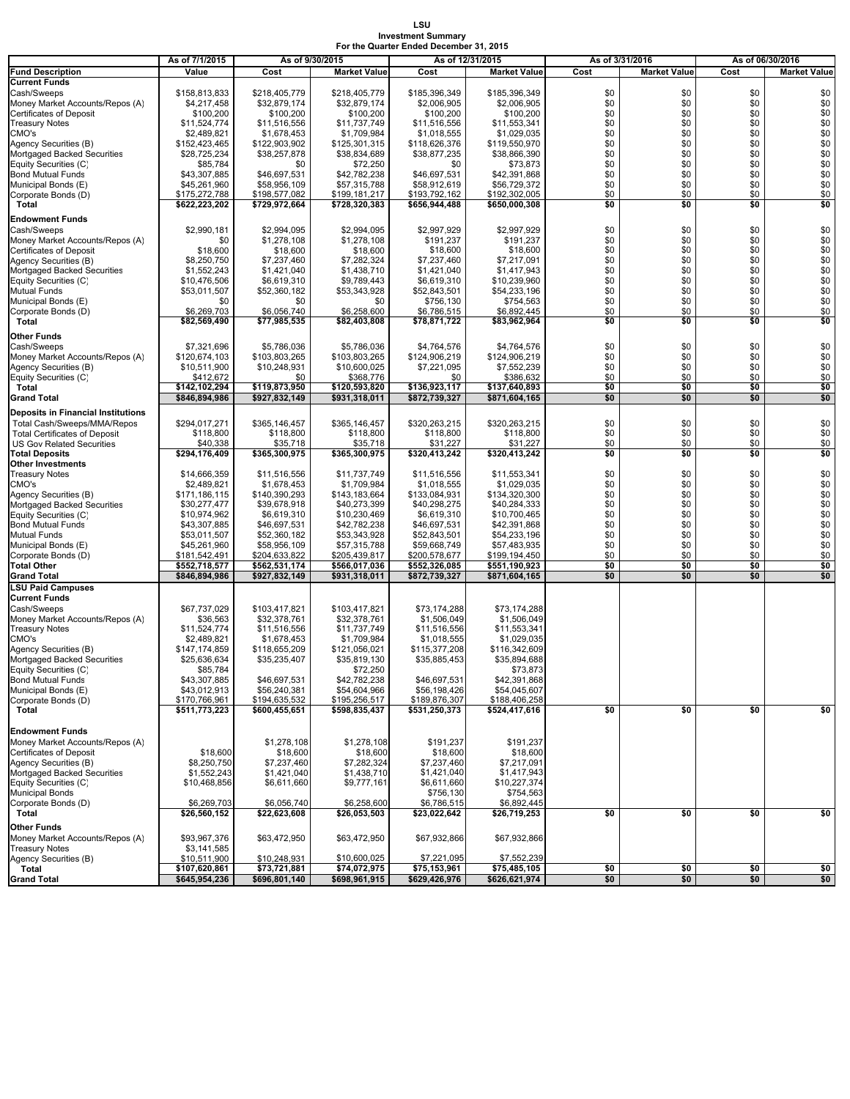#### **LSU Investment Summary For the Quarter Ended December 31, 2015**

|                                                           | As of 7/1/2015                 | As of 9/30/2015                |                                | As of 12/31/2015               |                                |            | As of 3/31/2016     | As of 06/30/2016 |                     |
|-----------------------------------------------------------|--------------------------------|--------------------------------|--------------------------------|--------------------------------|--------------------------------|------------|---------------------|------------------|---------------------|
| <b>Fund Description</b>                                   | Value                          | Cost                           | <b>Market Value</b>            | Cost                           | <b>Market Value</b>            | Cost       | <b>Market Value</b> | Cost             | <b>Market Value</b> |
| <b>Current Funds</b>                                      |                                |                                |                                |                                |                                |            |                     |                  |                     |
| Cash/Sweeps<br>Money Market Accounts/Repos (A)            | \$158,813,833<br>\$4,217,458   | \$218,405,779<br>\$32,879,174  | \$218,405,779<br>\$32,879,174  | \$185,396,349<br>\$2,006,905   | \$185,396,349<br>\$2,006,905   | \$0<br>\$0 | \$0<br>\$0          | \$0<br>\$0       | \$0<br>\$0          |
| Certificates of Deposit                                   | \$100,200                      | \$100,200                      | \$100,200                      | \$100,200                      | \$100,200                      | \$0        | \$0                 | \$0              | \$0                 |
| <b>Treasury Notes</b>                                     | \$11,524,774                   | \$11,516,556                   | \$11,737,749                   | \$11,516,556                   | \$11,553,341                   | \$0        | \$0                 | \$0              | \$0                 |
| CMO's                                                     | \$2,489,821                    | \$1,678,453                    | \$1,709,984                    | \$1,018,555                    | \$1,029,035                    | \$0        | \$0                 | \$0              | \$0                 |
| Agency Securities (B)                                     | \$152,423,465                  | \$122,903,902                  | \$125,301,315                  | \$118,626,376                  | \$119,550,970                  | \$0        | \$0                 | \$0              | \$0                 |
| Mortgaged Backed Securities                               | \$28,725,234                   | \$38,257,878                   | \$38,834,689                   | \$38,877,235                   | \$38,866,390                   | \$0        | \$0<br>\$0          | \$0<br>\$0       | \$0                 |
| Equity Securities (C)<br><b>Bond Mutual Funds</b>         | \$85,784<br>\$43,307,885       | \$0<br>\$46,697,531            | \$72,250<br>\$42,782,238       | \$0<br>\$46,697,531            | \$73,873<br>\$42,391,868       | \$0<br>\$0 | \$0                 | \$0              | \$0<br>\$0          |
| Municipal Bonds (E)                                       | \$45,261,960                   | \$58,956,109                   | \$57,315,788                   | \$58,912,619                   | \$56,729,372                   | \$0        | \$0                 | \$0              | \$0                 |
| Corporate Bonds (D)                                       | \$175,272,788                  | \$198,577,082                  | \$199,181,217                  | \$193,792,162                  | \$192,302,005                  | \$0        | \$0                 | \$0              | \$0                 |
| Total                                                     | \$622,223,202                  | \$729,972,664                  | \$728,320,383                  | \$656,944,488                  | \$650,000,308                  | \$0        | \$0                 | \$0              | \$0                 |
| Endowment Funds                                           |                                |                                |                                |                                |                                |            |                     |                  |                     |
| Cash/Sweeps                                               | \$2,990,181                    | \$2,994,095                    | \$2,994,095                    | \$2,997,929                    | \$2,997,929                    | \$0        | \$0                 | \$0              | \$0                 |
| Money Market Accounts/Repos (A)                           | \$0                            | \$1,278,108                    | \$1,278,108                    | \$191,237                      | \$191,237                      | \$0        | \$0                 | \$0              | \$0                 |
| Certificates of Deposit<br>Agency Securities (B)          | \$18,600                       | \$18,600<br>\$7,237,460        | \$18,600<br>\$7,282,324        | \$18,600<br>\$7,237,460        | \$18,600<br>\$7,217,091        | \$0<br>\$0 | \$0<br>\$0          | \$0<br>\$0       | \$0<br>\$0          |
| Mortgaged Backed Securities                               | \$8,250,750<br>\$1,552,243     | \$1,421,040                    | \$1,438,710                    | \$1,421,040                    | \$1,417,943                    | \$0        | \$0                 | \$0              | $\$0$               |
| Equity Securities (C)                                     | \$10,476,506                   | \$6,619,310                    | \$9,789,443                    | \$6,619,310                    | \$10,239,960                   | \$0        | \$0                 | \$0              | $\$0$               |
| Mutual Funds                                              | \$53,011,507                   | \$52,360,182                   | \$53,343,928                   | \$52,843,501                   | \$54,233,196                   | \$0        | \$0                 | \$0              | \$0                 |
| Municipal Bonds (E)                                       | \$0                            | \$0                            | \$0                            | \$756,130                      | \$754,563                      | \$0        | \$0                 | \$0              | \$0                 |
| Corporate Bonds (D)                                       | \$6,269,703                    | \$6,056,740                    | \$6,258,600                    | \$6,786,515                    | \$6,892,445                    | \$0        | \$0                 | \$0              | \$0                 |
| Total                                                     | \$82,569,490                   | \$77,985,535                   | \$82,403,808                   | \$78,871,722                   | \$83,962,964                   | \$0        | \$0                 | \$0              | \$0                 |
| <b>Other Funds</b>                                        |                                |                                |                                |                                |                                |            |                     |                  |                     |
| Cash/Sweeps<br>Money Market Accounts/Repos (A)            | \$7,321,696<br>\$120,674,103   | \$5,786,036<br>\$103,803,265   | \$5,786,036<br>\$103,803,265   | \$4,764,576<br>\$124,906,219   | \$4,764,576<br>\$124,906,219   | \$0<br>\$0 | \$0<br>\$0          | \$0<br>\$0       | \$0<br>\$0          |
| Agency Securities (B)                                     | \$10,511,900                   | \$10,248,931                   | \$10,600,025                   | \$7,221,095                    | \$7,552,239                    | \$0        | \$0                 | \$0              | \$0                 |
| Equity Securities (C)                                     | \$412,672                      | \$0                            | \$368,776                      | \$0                            | \$386,632                      | \$0        | \$0                 | \$0              | \$0                 |
| Total                                                     | \$142.102.294                  | \$119,873,950                  | \$120,593,820                  | \$136,923,117                  | \$137,640,893                  | \$0        | \$0                 | \$0              | \$0                 |
| Grand Total                                               | \$846,894,986                  | \$927,832,149                  | \$931,318,011                  | \$872,739,327                  | \$871,604,165                  | \$0        | \$0                 | \$0              | \$0                 |
| <b>Deposits in Financial Institutions</b>                 |                                |                                |                                |                                |                                |            |                     |                  |                     |
| Total Cash/Sweeps/MMA/Repos                               | \$294,017,271                  | \$365,146,457                  | \$365,146,457                  | \$320,263,215                  | \$320,263,215                  | \$0        | \$0                 | \$0              | \$0                 |
| <b>Total Certificates of Deposit</b>                      | \$118,800                      | \$118,800                      | \$118,800                      | \$118,800                      | \$118,800                      | \$0        | \$0                 | \$0              | \$0                 |
| <b>US Gov Related Securities</b><br><b>Total Deposits</b> | \$40,338<br>\$294,176,409      | \$35,718<br>\$365,300,975      | \$35,718<br>\$365,300,975      | \$31,227<br>\$320,413,242      | \$31,227<br>\$320,413,242      | \$0<br>\$0 | \$0<br>\$0          | \$0<br>\$0       | \$0<br>\$0          |
| Other Investments                                         |                                |                                |                                |                                |                                |            |                     |                  |                     |
| <b>Treasury Notes</b>                                     | \$14,666,359                   | \$11,516,556                   | \$11,737,749                   | \$11,516,556                   | \$11,553,341                   | \$0        | \$0                 | \$0              | \$0                 |
| CMO's                                                     | \$2,489,821                    | \$1,678,453                    | \$1,709,984                    | \$1,018,555                    | \$1,029,035                    | \$0        | \$0                 | \$0              | \$0                 |
| Agency Securities (B)<br>Mortgaged Backed Securities      | \$171,186,115<br>\$30,277,477  | \$140,390,293<br>\$39,678,918  | \$143,183,664<br>\$40,273,399  | \$133,084,931<br>\$40,298,275  | \$134,320,300<br>\$40,284,333  | \$0<br>\$0 | \$0<br>\$0          | \$0<br>\$0       | \$0<br>\$0          |
| Equity Securities (C)                                     | \$10,974,962                   | \$6,619,310                    | \$10,230,469                   | \$6,619,310                    | \$10,700,465                   | \$0        | \$0                 | \$0              | \$0                 |
| <b>Bond Mutual Funds</b>                                  | \$43,307,885                   | \$46,697,531                   | \$42,782,238                   | \$46,697,531                   | \$42,391,868                   | \$0        | \$0                 | \$0              | $\$0$               |
| Mutual Funds                                              | \$53,011,507                   | \$52,360,182                   | \$53,343,928                   | \$52,843,501                   | \$54,233,196                   | \$0        | \$0                 | \$0              | $\$0$               |
| Municipal Bonds (E)                                       | \$45,261,960                   | \$58,956,109                   | \$57,315,788                   | \$59,668,749                   | \$57,483,935                   | \$0        | \$0                 | \$0              | \$0                 |
| Corporate Bonds (D)                                       | \$181,542,491                  | \$204,633,822                  | \$205,439,817                  | \$200,578,677                  | \$199,194,450                  | \$0<br>\$0 | \$0<br>\$0          | \$0<br>\$0       | \$0<br>\$0          |
| Total Other<br>Grand Total                                | \$552,718,577<br>\$846,894,986 | \$562,531,174<br>\$927,832,149 | \$566,017,036<br>\$931,318,011 | \$552,326,085<br>\$872,739,327 | \$551,190,923<br>\$871,604,165 | \$0        | \$0                 | \$0              | \$0                 |
| <b>LSU Paid Campuses</b>                                  |                                |                                |                                |                                |                                |            |                     |                  |                     |
| <b>Current Funds</b>                                      |                                |                                |                                |                                |                                |            |                     |                  |                     |
| Cash/Sweeps                                               | \$67,737,029                   | \$103,417,821                  | \$103,417,821                  | \$73,174,288                   | \$73,174,288                   |            |                     |                  |                     |
| Money Market Accounts/Repos (A)                           | \$36,563                       | \$32,378,761                   | \$32,378,761                   | \$1,506,049                    | \$1,506,049                    |            |                     |                  |                     |
| <b>Treasury Notes</b><br>CMO's                            | \$11,524,774<br>\$2,489,821    | \$11,516,556<br>\$1,678,453    | \$11,737,749<br>\$1,709,984    | \$11,516,556<br>\$1,018,555    | \$11,553,341<br>\$1,029,035    |            |                     |                  |                     |
| Agency Securities (B)                                     | \$147,174,859                  | \$118,655,209                  | \$121,056,021                  | \$115,377,208                  | \$116,342,609                  |            |                     |                  |                     |
| Mortgaged Backed Securities                               | \$25,636,634                   | \$35,235,407                   | \$35,819,130                   | \$35,885,453                   | \$35,894,688                   |            |                     |                  |                     |
| Equity Securities (C)                                     | \$85,784                       |                                | \$72,250                       |                                | \$73,873                       |            |                     |                  |                     |
| <b>Bond Mutual Funds</b>                                  | \$43,307,885                   | \$46,697,531                   | \$42,782,238                   | \$46,697,531                   | \$42,391,868                   |            |                     |                  |                     |
| Municipal Bonds (E)<br>Corporate Bonds (D)                | \$43,012,913<br>\$170,766,961  | \$56,240,381<br>\$194,635,532  | \$54,604,966<br>\$195,256,517  | \$56,198,426<br>\$189,876,307  | \$54,045,607<br>\$188,406,258  |            |                     |                  |                     |
| Total                                                     | \$511,773,223                  | \$600,455,651                  | \$598,835,437                  | \$531,250,373                  | \$524,417,616                  | \$0        | \$0                 | \$0              | \$0                 |
|                                                           |                                |                                |                                |                                |                                |            |                     |                  |                     |
| <b>Endowment Funds</b>                                    |                                |                                |                                |                                |                                |            |                     |                  |                     |
| Money Market Accounts/Repos (A)                           |                                | \$1,278,108                    | \$1,278,108                    | \$191,237                      | \$191,237                      |            |                     |                  |                     |
| Certificates of Deposit<br>Agency Securities (B)          | \$18,600<br>\$8,250,750        | \$18,600<br>\$7,237,460        | \$18,600<br>\$7,282,324        | \$18,600<br>\$7,237,460        | \$18,600<br>\$7,217,091        |            |                     |                  |                     |
| Mortgaged Backed Securities                               | \$1,552,243                    | \$1,421,040                    | \$1,438,710                    | \$1,421,040                    | \$1,417,943                    |            |                     |                  |                     |
| Equity Securities (C)                                     | \$10,468,856                   | \$6,611,660                    | \$9,777,161                    | \$6,611,660                    | \$10,227,374                   |            |                     |                  |                     |
| <b>Municipal Bonds</b>                                    |                                |                                |                                | \$756,130                      | \$754,563                      |            |                     |                  |                     |
| Corporate Bonds (D)                                       | \$6,269,703                    | \$6,056,740                    | \$6,258,600                    | \$6,786,515                    | \$6,892,445                    |            |                     |                  |                     |
| Total                                                     | \$26,560,152                   | \$22,623,608                   | \$26,053,503                   | \$23,022,642                   | \$26,719,253                   | \$0        | \$0                 | \$0              | \$0                 |
| Other Funds                                               |                                |                                |                                |                                |                                |            |                     |                  |                     |
| Money Market Accounts/Repos (A)<br><b>Treasury Notes</b>  | \$93,967,376<br>\$3,141,585    | \$63,472,950                   | \$63,472,950                   | \$67,932,866                   | \$67,932,866                   |            |                     |                  |                     |
| Agency Securities (B)                                     | \$10,511,900                   | \$10,248,931                   | \$10,600,025                   | \$7,221,095                    | \$7,552,239                    |            |                     |                  |                     |
| Total                                                     | \$107,620,861                  | \$73,721,881                   | \$74,072,975                   | \$75,153,961                   | \$75,485,105                   | \$0        | \$0                 | \$0              | \$0                 |
| <b>Grand Total</b>                                        | \$645,954,236                  | \$696,801,140                  | \$698,961,915                  | \$629,426,976                  | \$626,621,974                  | \$0        | \$0                 | \$0              | \$0                 |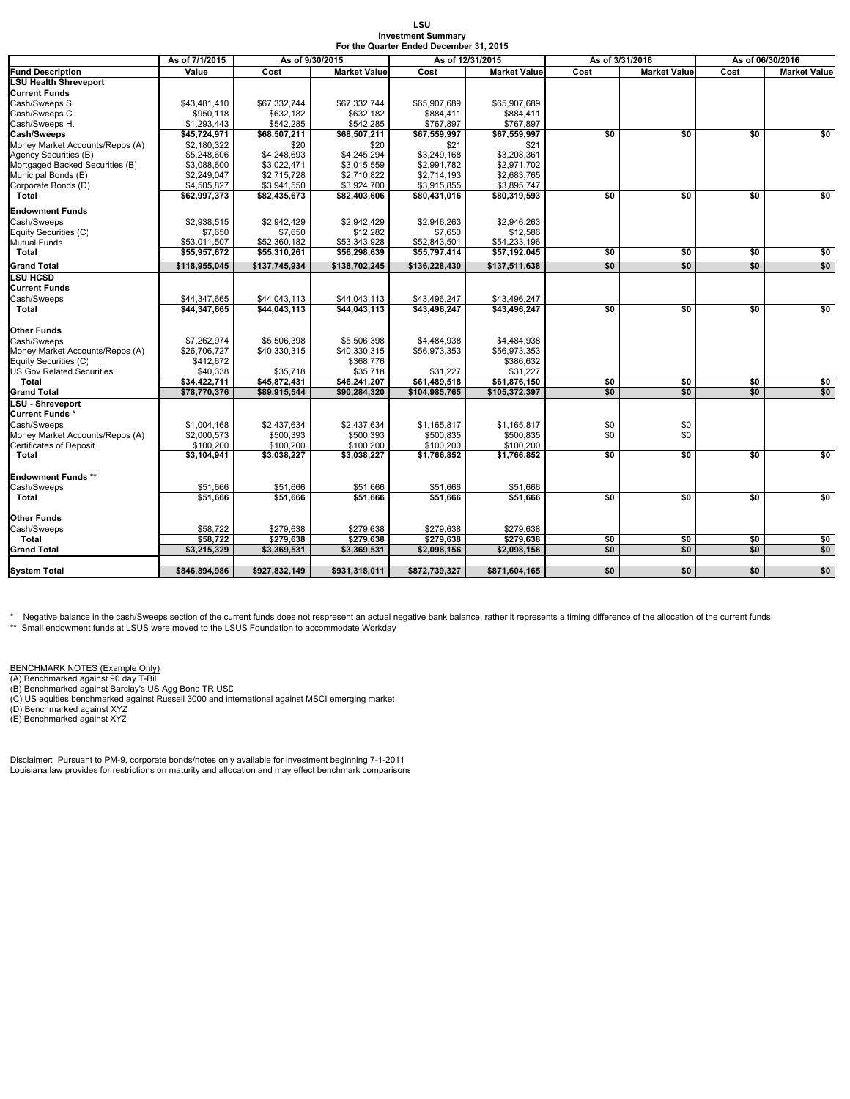#### **LSU Investment Summary For the Quarter Ended December 31, 2015**

|                                         | As of 7/1/2015           | As of 9/30/2015          |                          | For the Quarter Ended December 31, 2015<br>As of 12/31/2015 |                          |                             | As of 3/31/2016 | As of 06/30/2016 |                     |
|-----------------------------------------|--------------------------|--------------------------|--------------------------|-------------------------------------------------------------|--------------------------|-----------------------------|-----------------|------------------|---------------------|
| <b>Fund Description</b>                 | Value                    | Cost                     | <b>Market Value</b>      | Cost                                                        | <b>Market Value</b>      | <b>Market Value</b><br>Cost |                 | Cost             | <b>Market Value</b> |
| <b>LSU Health Shreveport</b>            |                          |                          |                          |                                                             |                          |                             |                 |                  |                     |
| <b>Current Funds</b>                    |                          |                          |                          |                                                             |                          |                             |                 |                  |                     |
| Cash/Sweeps S.                          | \$43,481,410             | \$67,332,744             | \$67,332,744             | \$65,907,689                                                | \$65,907,689             |                             |                 |                  |                     |
| Cash/Sweeps C.                          | \$950,118                | \$632,182                | \$632,182                | \$884,411                                                   | \$884,411                |                             |                 |                  |                     |
| Cash/Sweeps H.                          | \$1,293,443              | \$542,285                | \$542,285                | \$767,897                                                   | \$767,897                |                             |                 |                  |                     |
| <b>Cash/Sweeps</b>                      | \$45,724,971             | \$68,507,211             | \$68,507,211             | \$67,559,997                                                | \$67,559,997             | \$0                         | \$0             | \$0              | \$0                 |
| Money Market Accounts/Repos (A)         | \$2,180,322              | \$20                     | \$20                     | \$21                                                        | \$21                     |                             |                 |                  |                     |
| Agency Securities (B)                   | \$5,248,606              | \$4,248,693              | \$4,245,294              | \$3,249,168                                                 | \$3,208,361              |                             |                 |                  |                     |
| Mortgaged Backed Securities (B)         | \$3,088,600              | \$3,022,471              | \$3,015,559              | \$2,991,782                                                 | \$2,971,702              |                             |                 |                  |                     |
| Municipal Bonds (E)                     | \$2,249,047              | \$2,715,728              | \$2,710,822              | \$2,714,193                                                 | \$2,683,765              |                             |                 |                  |                     |
| Corporate Bonds (D)                     | \$4,505,827              | \$3,941,550              | \$3,924,700              | \$3,915,855                                                 | \$3,895,747              |                             |                 |                  |                     |
| Total                                   | \$62,997,373             | \$82,435,673             | \$82,403,606             | \$80,431,016                                                | \$80,319,593             | $\overline{50}$             | \$0             | \$0              | \$0                 |
| <b>Endowment Funds</b>                  |                          |                          |                          |                                                             |                          |                             |                 |                  |                     |
| Cash/Sweeps                             | \$2.938.515              | \$2.942.429              | \$2.942.429              | \$2.946.263                                                 | \$2.946.263              |                             |                 |                  |                     |
| Equity Securities (C)                   | \$7,650                  | \$7,650                  | \$12,282                 | \$7,650                                                     | \$12,586                 |                             |                 |                  |                     |
| Mutual Funds                            | \$53,011,507             | \$52,360,182             | \$53,343,928             | \$52,843,501                                                | \$54,233,196             |                             |                 |                  |                     |
| Total                                   | \$55,957,672             | \$55,310,261             | \$56,298,639             | \$55,797,414                                                | \$57,192,045             | \$0                         | \$0             | \$0              | \$0                 |
| <b>Grand Total</b>                      | \$118,955,045            | \$137,745,934            | \$138,702,245            | \$136,228,430                                               | \$137,511,638            | \$0                         | \$0             | \$0              | \$0                 |
| <b>LSU HCSD</b>                         |                          |                          |                          |                                                             |                          |                             |                 |                  |                     |
| <b>Current Funds</b>                    |                          |                          |                          |                                                             |                          |                             |                 |                  |                     |
| Cash/Sweeps                             | \$44,347,665             | \$44,043,113             | \$44,043,113             | \$43,496,247                                                | \$43,496,247             |                             |                 |                  |                     |
| Total                                   | \$44,347,665             | \$44,043,113             | \$44,043,113             | \$43,496,247                                                | \$43,496,247             | \$0                         | \$0             | \$0              | \$0                 |
|                                         |                          |                          |                          |                                                             |                          |                             |                 |                  |                     |
| <b>Other Funds</b>                      |                          |                          |                          |                                                             |                          |                             |                 |                  |                     |
| Cash/Sweeps                             | \$7,262,974              | \$5,506,398              | \$5,506,398              | \$4,484,938                                                 | \$4,484,938              |                             |                 |                  |                     |
| Money Market Accounts/Repos (A)         | \$26,706,727             | \$40,330,315             | \$40,330,315             | \$56,973,353                                                | \$56,973,353             |                             |                 |                  |                     |
| Equity Securities (C)                   | \$412,672                |                          | \$368,776                |                                                             | \$386.632                |                             |                 |                  |                     |
| US Gov Related Securities               | \$40,338                 | \$35,718                 | \$35,718                 | \$31,227                                                    | \$31,227                 |                             |                 |                  |                     |
| Total                                   | \$34,422,711             | \$45,872,431             | \$46,241,207             | \$61,489,518                                                | \$61,876,150             | \$0                         | \$0             | \$0              | \$0                 |
| <b>Grand Total</b>                      | \$78,770,376             | \$89,915,544             | \$90,284,320             | \$104,985,765                                               | \$105,372,397            | \$0                         | \$0             | \$0              | \$0                 |
| LSU - Shreveport                        |                          |                          |                          |                                                             |                          |                             |                 |                  |                     |
| Current Funds*                          |                          |                          |                          |                                                             |                          |                             |                 |                  |                     |
| Cash/Sweeps                             | \$1,004,168              | \$2,437,634              | \$2,437,634              | \$1,165,817                                                 | \$1,165,817              | \$0                         | \$0             |                  |                     |
| Money Market Accounts/Repos (A)         | \$2,000,573              | \$500,393                | \$500,393                | \$500,835                                                   | \$500,835                | \$0                         | \$0             |                  |                     |
| <b>Certificates of Deposit</b><br>Total | \$100,200<br>\$3,104,941 | \$100,200<br>\$3,038,227 | \$100,200<br>\$3,038,227 | \$100,200<br>\$1,766,852                                    | \$100,200<br>\$1,766,852 | \$0                         | \$0             | \$0              | \$0                 |
|                                         |                          |                          |                          |                                                             |                          |                             |                 |                  |                     |
| Endowment Funds **                      |                          |                          |                          |                                                             |                          |                             |                 |                  |                     |
| Cash/Sweeps                             | \$51,666                 | \$51,666                 | \$51,666                 | \$51,666                                                    | \$51,666                 |                             |                 |                  |                     |
| Total                                   | \$51,666                 | \$51,666                 | \$51.666                 | \$51,666                                                    | \$51.666                 | \$0                         | \$0             | \$0              | \$0                 |
|                                         |                          |                          |                          |                                                             |                          |                             |                 |                  |                     |
| Other Funds                             |                          |                          |                          |                                                             |                          |                             |                 |                  |                     |
| Cash/Sweeps                             | \$58,722<br>\$58,722     | \$279,638                | \$279,638                | \$279,638                                                   | \$279,638                |                             |                 | \$0              |                     |
| Total<br><b>Grand Total</b>             | \$3,215,329              | \$279,638<br>\$3,369,531 | \$279,638<br>\$3,369,531 | \$279,638<br>\$2,098,156                                    | \$279,638<br>\$2,098,156 | \$0<br>\$0                  | \$0<br>\$0      | \$0              | \$0<br>\$0          |
|                                         |                          |                          |                          |                                                             |                          |                             |                 |                  |                     |
| <b>System Total</b>                     | \$846,894,986            | \$927,832,149            | \$931,318,011            | \$872,739,327                                               | \$871,604,165            | \$0                         | \$0             | \$0              | \$0                 |
|                                         |                          |                          |                          |                                                             |                          |                             |                 |                  |                     |

\* Negative balance in the cash/Sweeps section of the current funds does not respresent an actual negative bank balance, rather it represents a timing difference of the allocation of the current funds.<br>\*\* Small endowment fu

<u>BENCHMARK NOTES (Example Only)</u><br>(A) Benchmarked against 90 day T-Bil<br>(B) Benchmarked against Barclay's US Agg Bond TR USD

(C) US equities benchmarked against Russell 3000 and international against MSCI emerging market (D) Benchmarked against XYZ (E) Benchmarked against XYZ

Disclaimer: Pursuant to PM-9, corporate bonds/notes only available for investment beginning 7-1-2011 Louisiana law provides for restrictions on maturity and allocation and may effect benchmark comparisons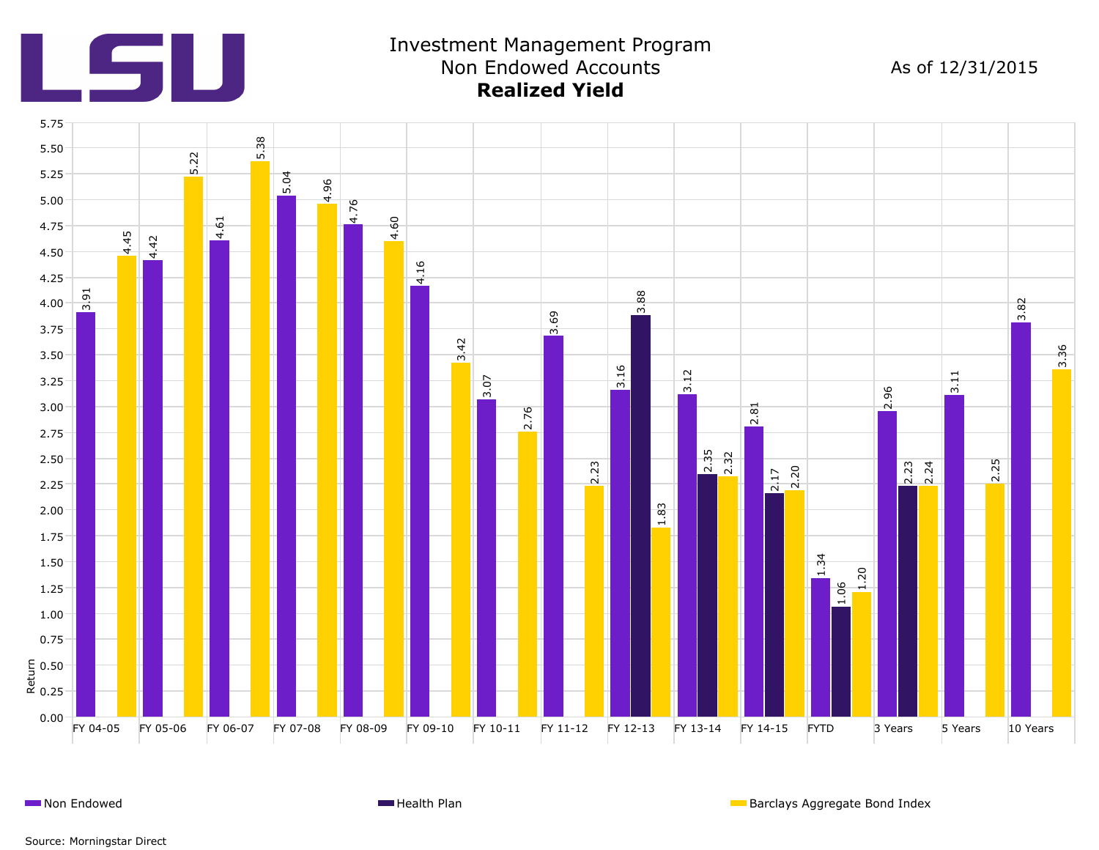

## Investment Management Program Non Endowed Accounts **Realized Yield**

As of 12/31/2015



**Non Endowed Health Plan** Barclays Aggregate Bond Index **Health Plan** Barclays Aggregate Bond Index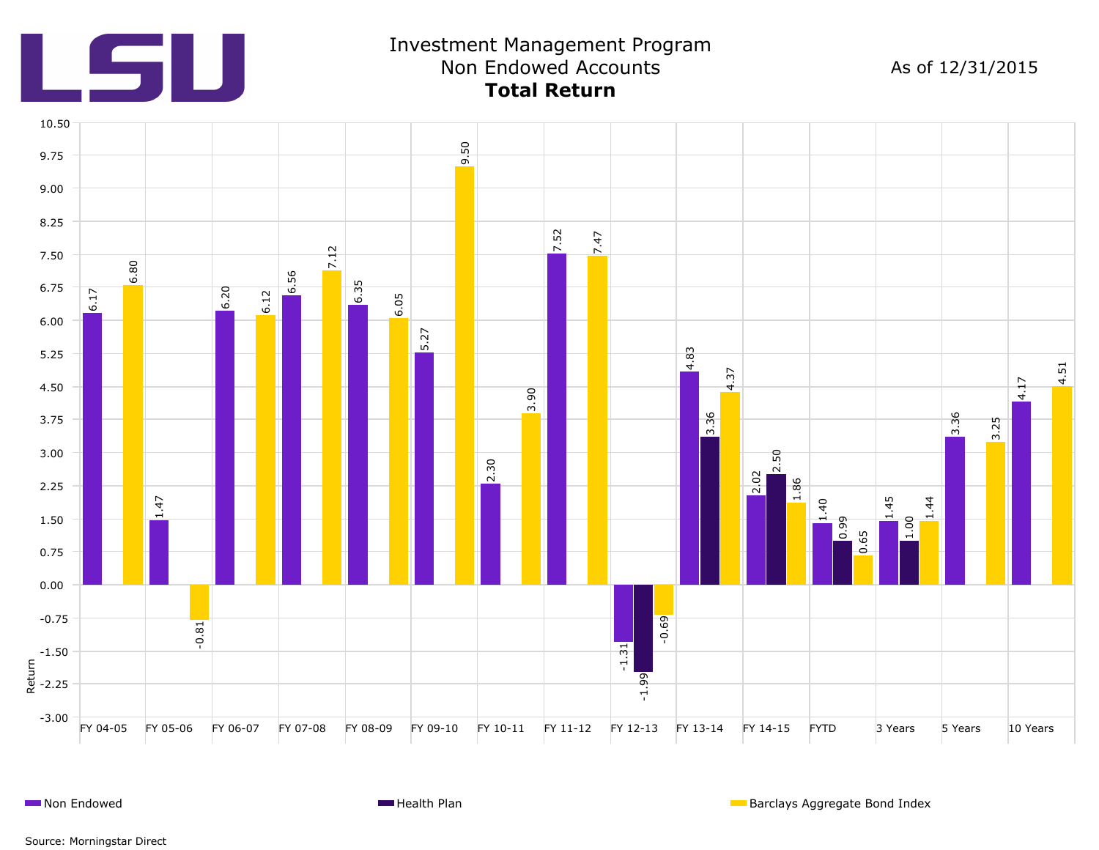

## Investment Management Program Non Endowed Accounts **Total Return**

As of 12/31/2015



**Non Endowed Health Plan** Barclays Aggregate Bond Index **Health Plan** Barclays Aggregate Bond Index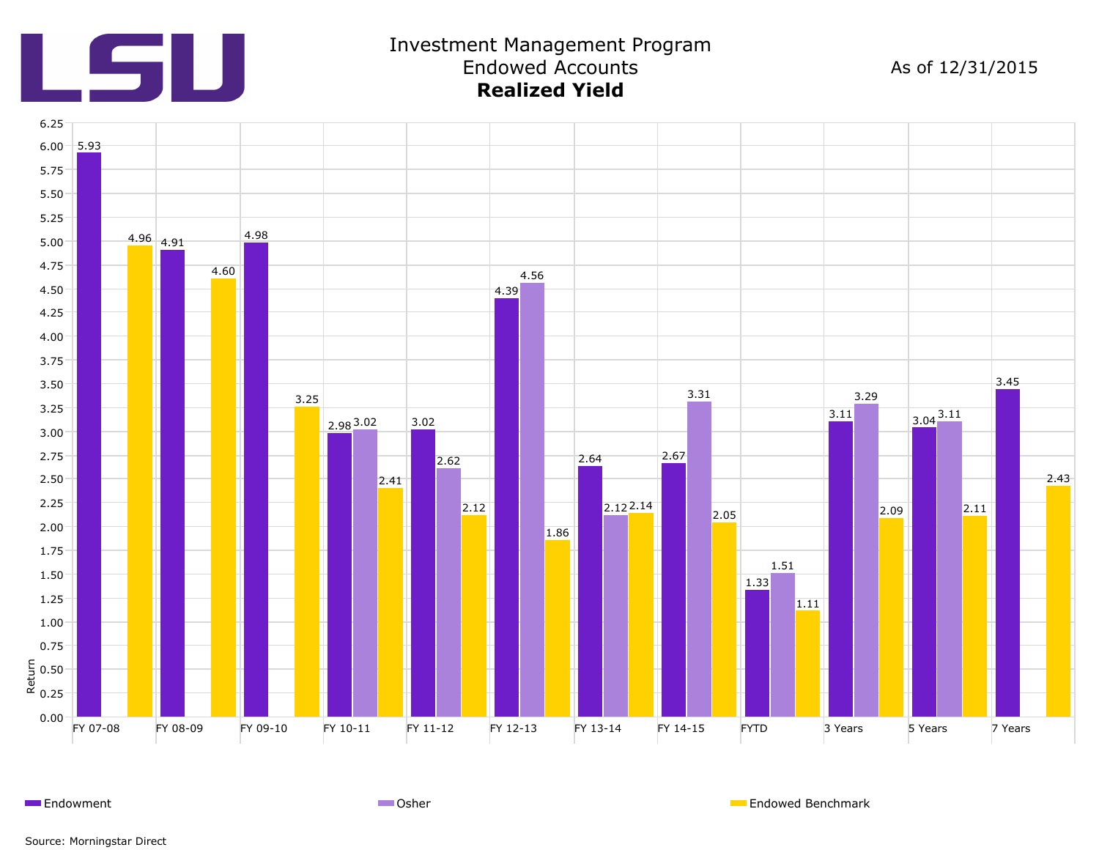

### Investment Management Program Endowed Accounts **Realized Yield**

As of 12/31/2015